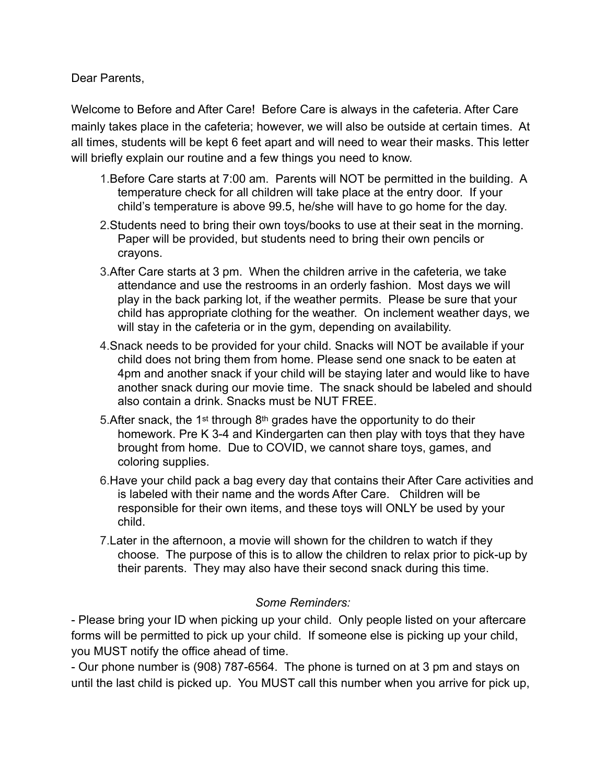Dear Parents,

Welcome to Before and After Care! Before Care is always in the cafeteria. After Care mainly takes place in the cafeteria; however, we will also be outside at certain times. At all times, students will be kept 6 feet apart and will need to wear their masks. This letter will briefly explain our routine and a few things you need to know.

- 1.Before Care starts at 7:00 am. Parents will NOT be permitted in the building. A temperature check for all children will take place at the entry door. If your child's temperature is above 99.5, he/she will have to go home for the day.
- 2.Students need to bring their own toys/books to use at their seat in the morning. Paper will be provided, but students need to bring their own pencils or crayons.
- 3.After Care starts at 3 pm. When the children arrive in the cafeteria, we take attendance and use the restrooms in an orderly fashion. Most days we will play in the back parking lot, if the weather permits. Please be sure that your child has appropriate clothing for the weather. On inclement weather days, we will stay in the cafeteria or in the gym, depending on availability.
- 4.Snack needs to be provided for your child. Snacks will NOT be available if your child does not bring them from home. Please send one snack to be eaten at 4pm and another snack if your child will be staying later and would like to have another snack during our movie time. The snack should be labeled and should also contain a drink. Snacks must be NUT FREE.
- 5. After snack, the 1<sup>st</sup> through 8<sup>th</sup> grades have the opportunity to do their homework. Pre K 3-4 and Kindergarten can then play with toys that they have brought from home. Due to COVID, we cannot share toys, games, and coloring supplies.
- 6.Have your child pack a bag every day that contains their After Care activities and is labeled with their name and the words After Care. Children will be responsible for their own items, and these toys will ONLY be used by your child.
- 7.Later in the afternoon, a movie will shown for the children to watch if they choose. The purpose of this is to allow the children to relax prior to pick-up by their parents. They may also have their second snack during this time.

## *Some Reminders:*

- Please bring your ID when picking up your child. Only people listed on your aftercare forms will be permitted to pick up your child. If someone else is picking up your child, you MUST notify the office ahead of time.

- Our phone number is (908) 787-6564. The phone is turned on at 3 pm and stays on until the last child is picked up. You MUST call this number when you arrive for pick up,